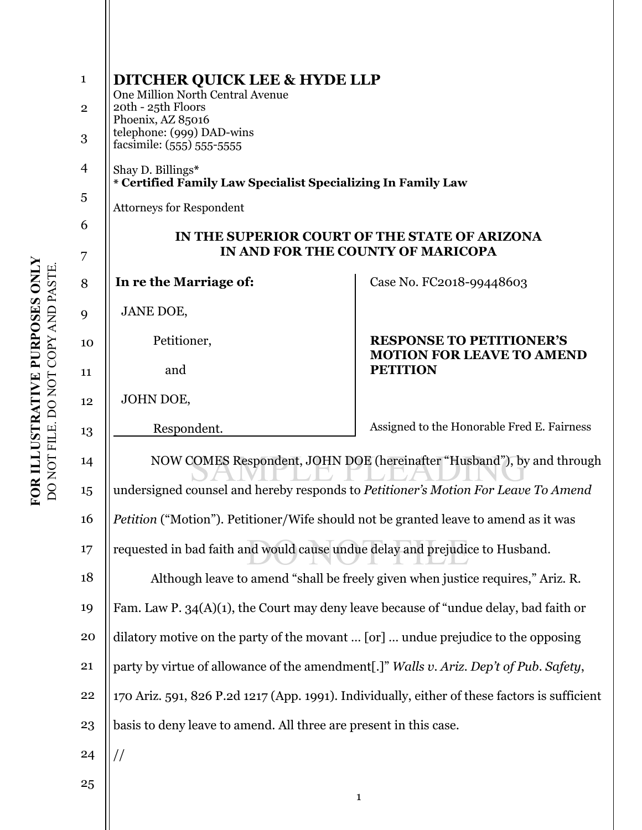| $\mathbf{1}$<br>$\mathbf{2}$<br>3 | <b>DITCHER QUICK LEE &amp; HYDE LLP</b><br>One Million North Central Avenue<br>20th - 25th Floors<br>Phoenix, AZ 85016<br>telephone: (999) DAD-wins<br>facsimile: (555) 555-5555 |                                                                                        |
|-----------------------------------|----------------------------------------------------------------------------------------------------------------------------------------------------------------------------------|----------------------------------------------------------------------------------------|
| $\overline{\mathcal{A}}$          | Shay D. Billings*<br>* Certified Family Law Specialist Specializing In Family Law                                                                                                |                                                                                        |
| 5                                 | <b>Attorneys for Respondent</b>                                                                                                                                                  |                                                                                        |
| 6                                 | IN THE SUPERIOR COURT OF THE STATE OF ARIZONA<br>IN AND FOR THE COUNTY OF MARICOPA                                                                                               |                                                                                        |
| 7<br>8                            | In re the Marriage of:                                                                                                                                                           | Case No. FC2018-99448603                                                               |
|                                   | JANE DOE,                                                                                                                                                                        |                                                                                        |
| 9                                 | Petitioner,                                                                                                                                                                      | <b>RESPONSE TO PETITIONER'S</b><br><b>MOTION FOR LEAVE TO AMEND</b><br><b>PETITION</b> |
| 10                                | and                                                                                                                                                                              |                                                                                        |
| 11                                |                                                                                                                                                                                  |                                                                                        |
| 12                                | JOHN DOE,                                                                                                                                                                        |                                                                                        |
| 13                                | Respondent.                                                                                                                                                                      | Assigned to the Honorable Fred E. Fairness                                             |
| 14                                | NOW COMES Respondent, JOHN DOE (hereinafter "Husband"), by and through                                                                                                           |                                                                                        |
| 15                                | undersigned counsel and hereby responds to Petitioner's Motion For Leave To Amend                                                                                                |                                                                                        |
| 16                                | <i>Petition</i> ("Motion"). Petitioner/Wife should not be granted leave to amend as it was                                                                                       |                                                                                        |
| 17                                | requested in bad faith and would cause undue delay and prejudice to Husband.                                                                                                     |                                                                                        |
| 18                                | Although leave to amend "shall be freely given when justice requires," Ariz. R.                                                                                                  |                                                                                        |
| 19                                | Fam. Law P. 34(A)(1), the Court may deny leave because of "undue delay, bad faith or                                                                                             |                                                                                        |
| 20                                | dilatory motive on the party of the movant  [or]  undue prejudice to the opposing                                                                                                |                                                                                        |
| 21                                | party by virtue of allowance of the amendment[.]" Walls v. Ariz. Dep't of Pub. Safety,                                                                                           |                                                                                        |
| 22                                | 170 Ariz. 591, 826 P.2d 1217 (App. 1991). Individually, either of these factors is sufficient                                                                                    |                                                                                        |
| 23                                | basis to deny leave to amend. All three are present in this case.                                                                                                                |                                                                                        |
| 24                                | $\frac{1}{2}$                                                                                                                                                                    |                                                                                        |
| 25                                |                                                                                                                                                                                  |                                                                                        |
|                                   |                                                                                                                                                                                  | $\mathbf{1}$                                                                           |

FOR ILLUSTRATIVE PURPOSES ONLY **FOR ILLUSTRATIVE PURPOSES ONLY**  DO NOT FILE. DO NOT COPY AND PASTE. DO NOT FILE. DO NOT COPY AND PASTE.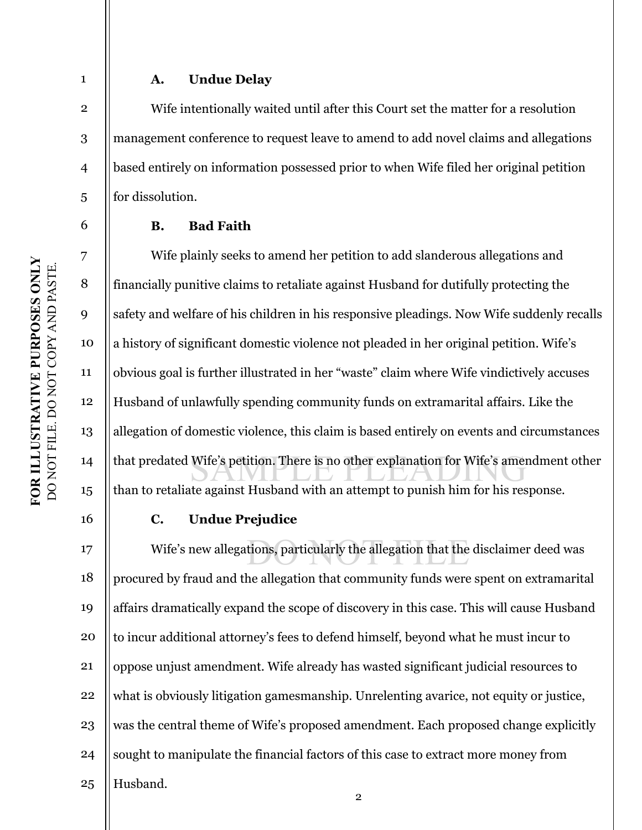## **A. Undue Delay**

 Wife intentionally waited until after this Court set the matter for a resolution management conference to request leave to amend to add novel claims and allegations based entirely on information possessed prior to when Wife filed her original petition for dissolution.

## **B. Bad Faith**

10 12 13 14 15 that predated Wife's petition. There is no other explanation for Wife's amendment other Wife plainly seeks to amend her petition to add slanderous allegations and financially punitive claims to retaliate against Husband for dutifully protecting the safety and welfare of his children in his responsive pleadings. Now Wife suddenly recalls a history of significant domestic violence not pleaded in her original petition. Wife's obvious goal is further illustrated in her "waste" claim where Wife vindictively accuses Husband of unlawfully spending community funds on extramarital affairs. Like the allegation of domestic violence, this claim is based entirely on events and circumstances than to retaliate against Husband with an attempt to punish him for his response.

16

1

2

3

4

5

6

7

8

9

11

## **C. Undue Prejudice**

17 18 19 20 21 22 23 24 25 Wife's new allegations, particularly the allegation that the disclaimer deed was procured by fraud and the allegation that community funds were spent on extramarital affairs dramatically expand the scope of discovery in this case. This will cause Husband to incur additional attorney's fees to defend himself, beyond what he must incur to oppose unjust amendment. Wife already has wasted significant judicial resources to what is obviously litigation gamesmanship. Unrelenting avarice, not equity or justice, was the central theme of Wife's proposed amendment. Each proposed change explicitly sought to manipulate the financial factors of this case to extract more money from Husband.